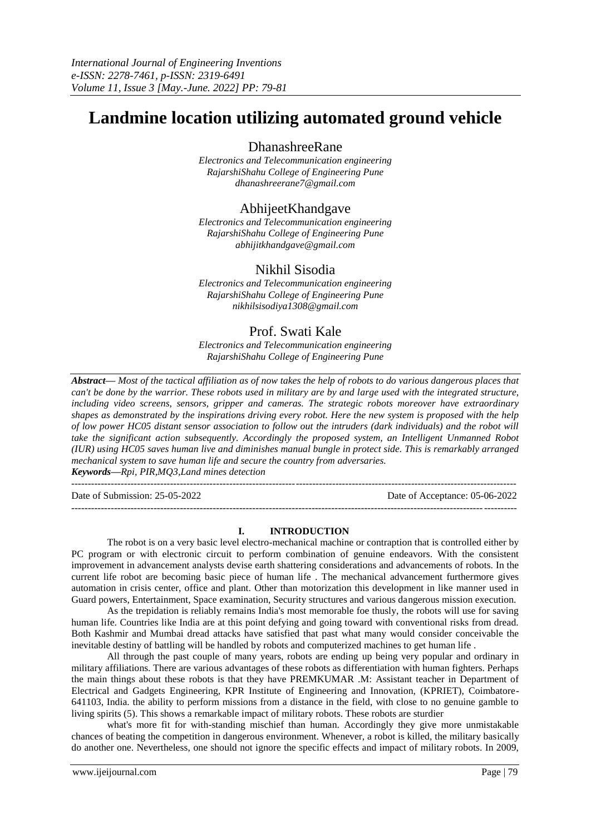# **Landmine location utilizing automated ground vehicle**

DhanashreeRane

*Electronics and Telecommunication engineering RajarshiShahu College of Engineering Pune dhanashreerane7@gmail.com*

# AbhijeetKhandgave

*Electronics and Telecommunication engineering RajarshiShahu College of Engineering Pune abhijitkhandgave@gmail.com*

## Nikhil Sisodia

*Electronics and Telecommunication engineering RajarshiShahu College of Engineering Pune nikhilsisodiya1308@gmail.com*

# Prof. Swati Kale

*Electronics and Telecommunication engineering RajarshiShahu College of Engineering Pune*

*Abstract— Most of the tactical affiliation as of now takes the help of robots to do various dangerous places that can't be done by the warrior. These robots used in military are by and large used with the integrated structure, including video screens, sensors, gripper and cameras. The strategic robots moreover have extraordinary shapes as demonstrated by the inspirations driving every robot. Here the new system is proposed with the help of low power HC05 distant sensor association to follow out the intruders (dark individuals) and the robot will take the significant action subsequently. Accordingly the proposed system, an Intelligent Unmanned Robot (IUR) using HC05 saves human live and diminishes manual bungle in protect side. This is remarkably arranged mechanical system to save human life and secure the country from adversaries. Keywords—Rpi, PIR,MQ3,Land mines detection*

---------------------------------------------------------------------------------------------------------------------------------------

 $-1\leq i\leq n-1\leq n-1\leq n-1\leq n-1\leq n-1\leq n-1\leq n-1\leq n-1\leq n-1\leq n-1\leq n-1\leq n-1\leq n-1\leq n-1\leq n-1\leq n-1\leq n-1\leq n-1\leq n-1\leq n-1\leq n-1\leq n-1\leq n-1\leq n-1\leq n-1\leq n-1\leq n-1\leq n-1\leq n-1\leq n-1\leq n-1\leq n-1\leq n-1\leq n-1\leq n-1\leq n$ 

Date of Submission: 25-05-2022 Date of Acceptance: 05-06-2022

## **I. INTRODUCTION**

The robot is on a very basic level electro-mechanical machine or contraption that is controlled either by PC program or with electronic circuit to perform combination of genuine endeavors. With the consistent improvement in advancement analysts devise earth shattering considerations and advancements of robots. In the current life robot are becoming basic piece of human life . The mechanical advancement furthermore gives automation in crisis center, office and plant. Other than motorization this development in like manner used in Guard powers, Entertainment, Space examination, Security structures and various dangerous mission execution.

As the trepidation is reliably remains India's most memorable foe thusly, the robots will use for saving human life. Countries like India are at this point defying and going toward with conventional risks from dread. Both Kashmir and Mumbai dread attacks have satisfied that past what many would consider conceivable the inevitable destiny of battling will be handled by robots and computerized machines to get human life .

All through the past couple of many years, robots are ending up being very popular and ordinary in military affiliations. There are various advantages of these robots as differentiation with human fighters. Perhaps the main things about these robots is that they have PREMKUMAR .M: Assistant teacher in Department of Electrical and Gadgets Engineering, KPR Institute of Engineering and Innovation, (KPRIET), Coimbatore-641103, India. the ability to perform missions from a distance in the field, with close to no genuine gamble to living spirits (5). This shows a remarkable impact of military robots. These robots are sturdier

what's more fit for with-standing mischief than human. Accordingly they give more unmistakable chances of beating the competition in dangerous environment. Whenever, a robot is killed, the military basically do another one. Nevertheless, one should not ignore the specific effects and impact of military robots. In 2009,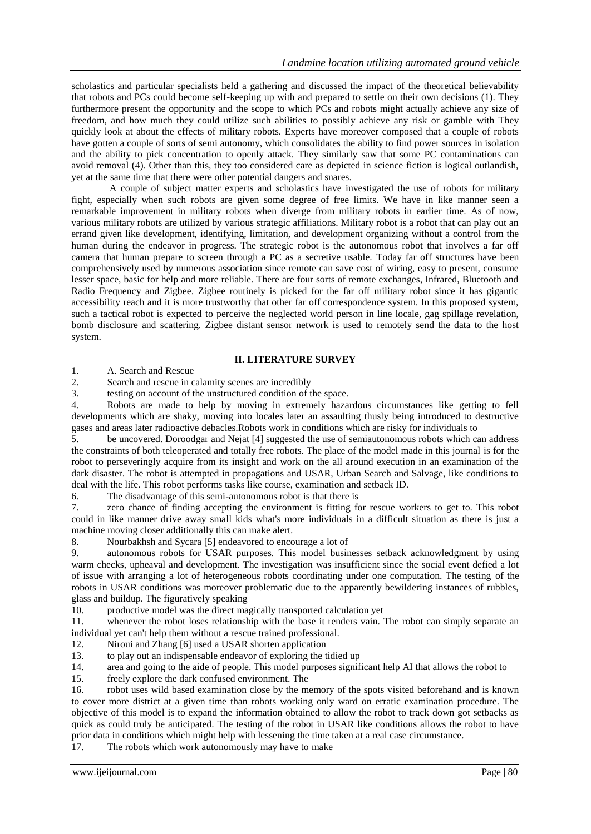scholastics and particular specialists held a gathering and discussed the impact of the theoretical believability that robots and PCs could become self-keeping up with and prepared to settle on their own decisions (1). They furthermore present the opportunity and the scope to which PCs and robots might actually achieve any size of freedom, and how much they could utilize such abilities to possibly achieve any risk or gamble with They quickly look at about the effects of military robots. Experts have moreover composed that a couple of robots have gotten a couple of sorts of semi autonomy, which consolidates the ability to find power sources in isolation and the ability to pick concentration to openly attack. They similarly saw that some PC contaminations can avoid removal (4). Other than this, they too considered care as depicted in science fiction is logical outlandish, yet at the same time that there were other potential dangers and snares.

A couple of subject matter experts and scholastics have investigated the use of robots for military fight, especially when such robots are given some degree of free limits. We have in like manner seen a remarkable improvement in military robots when diverge from military robots in earlier time. As of now, various military robots are utilized by various strategic affiliations. Military robot is a robot that can play out an errand given like development, identifying, limitation, and development organizing without a control from the human during the endeavor in progress. The strategic robot is the autonomous robot that involves a far off camera that human prepare to screen through a PC as a secretive usable. Today far off structures have been comprehensively used by numerous association since remote can save cost of wiring, easy to present, consume lesser space, basic for help and more reliable. There are four sorts of remote exchanges, Infrared, Bluetooth and Radio Frequency and Zigbee. Zigbee routinely is picked for the far off military robot since it has gigantic accessibility reach and it is more trustworthy that other far off correspondence system. In this proposed system, such a tactical robot is expected to perceive the neglected world person in line locale, gag spillage revelation, bomb disclosure and scattering. Zigbee distant sensor network is used to remotely send the data to the host system.

### **II. LITERATURE SURVEY**

1. A. Search and Rescue

2. Search and rescue in calamity scenes are incredibly

3. testing on account of the unstructured condition of the space.

4. Robots are made to help by moving in extremely hazardous circumstances like getting to fell developments which are shaky, moving into locales later an assaulting thusly being introduced to destructive gases and areas later radioactive debacles.Robots work in conditions which are risky for individuals to

5. be uncovered. Doroodgar and Nejat [4] suggested the use of semiautonomous robots which can address the constraints of both teleoperated and totally free robots. The place of the model made in this journal is for the robot to perseveringly acquire from its insight and work on the all around execution in an examination of the dark disaster. The robot is attempted in propagations and USAR, Urban Search and Salvage, like conditions to deal with the life. This robot performs tasks like course, examination and setback ID.

6. The disadvantage of this semi-autonomous robot is that there is

7. zero chance of finding accepting the environment is fitting for rescue workers to get to. This robot could in like manner drive away small kids what's more individuals in a difficult situation as there is just a machine moving closer additionally this can make alert.

8. Nourbakhsh and Sycara [5] endeavored to encourage a lot of

9. autonomous robots for USAR purposes. This model businesses setback acknowledgment by using warm checks, upheaval and development. The investigation was insufficient since the social event defied a lot of issue with arranging a lot of heterogeneous robots coordinating under one computation. The testing of the robots in USAR conditions was moreover problematic due to the apparently bewildering instances of rubbles, glass and buildup. The figuratively speaking

10. productive model was the direct magically transported calculation yet

11. whenever the robot loses relationship with the base it renders vain. The robot can simply separate an individual yet can't help them without a rescue trained professional.

12. Niroui and Zhang [6] used a USAR shorten application

13. to play out an indispensable endeavor of exploring the tidied up

14. area and going to the aide of people. This model purposes significant help AI that allows the robot to

15. freely explore the dark confused environment. The

16. robot uses wild based examination close by the memory of the spots visited beforehand and is known to cover more district at a given time than robots working only ward on erratic examination procedure. The objective of this model is to expand the information obtained to allow the robot to track down got setbacks as quick as could truly be anticipated. The testing of the robot in USAR like conditions allows the robot to have prior data in conditions which might help with lessening the time taken at a real case circumstance.

17. The robots which work autonomously may have to make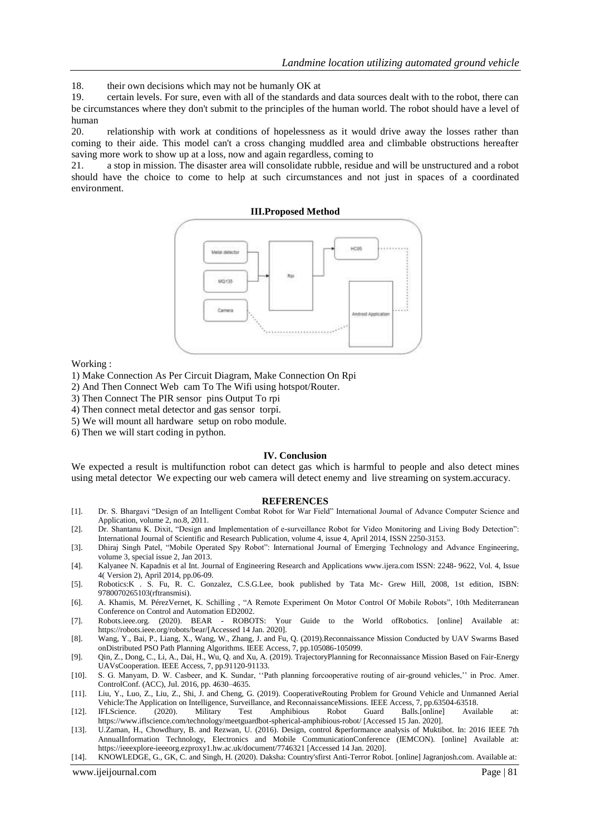18. their own decisions which may not be humanly OK at

19. certain levels. For sure, even with all of the standards and data sources dealt with to the robot, there can be circumstances where they don't submit to the principles of the human world. The robot should have a level of human

20. relationship with work at conditions of hopelessness as it would drive away the losses rather than coming to their aide. This model can't a cross changing muddled area and climbable obstructions hereafter saving more work to show up at a loss, now and again regardless, coming to

21. a stop in mission. The disaster area will consolidate rubble, residue and will be unstructured and a robot should have the choice to come to help at such circumstances and not just in spaces of a coordinated environment.





Working :

1) Make Connection As Per Circuit Diagram, Make Connection On Rpi

- 2) And Then Connect Web cam To The Wifi using hotspot/Router.
- 3) Then Connect The PIR sensor pins Output To rpi
- 4) Then connect metal detector and gas sensor torpi.
- 5) We will mount all hardware setup on robo module.
- 6) Then we will start coding in python.

#### **IV. Conclusion**

We expected a result is multifunction robot can detect gas which is harmful to people and also detect mines using metal detector We expecting our web camera will detect enemy and live streaming on system.accuracy.

#### **REFERENCES**

- [1]. Dr. S. Bhargavi "Design of an Intelligent Combat Robot for War Field" International Journal of Advance Computer Science and Application, volume 2, no.8, 2011.
- [2]. Dr. Shantanu K. Dixit, "Design and Implementation of e-surveillance Robot for Video Monitoring and Living Body Detection": International Journal of Scientific and Research Publication, volume 4, issue 4, April 2014, ISSN 2250-3153.
- [3]. Dhiraj Singh Patel, "Mobile Operated Spy Robot": International Journal of Emerging Technology and Advance Engineering, volume 3, special issue 2, Jan 2013.
- [4]. Kalyanee N. Kapadnis et al Int. Journal of Engineering Research and Applications www.ijera.com ISSN: 2248- 9622, Vol. 4, Issue 4( Version 2), April 2014, pp.06-09.
- [5]. Robotics:K . S. Fu, R. C. Gonzalez, C.S.G.Lee, book published by Tata Mc- Grew Hill, 2008, 1st edition, ISBN: 9780070265103(rftransmisi).
- [6]. A. Khamis, M. PérezVernet, K. Schilling , "A Remote Experiment On Motor Control Of Mobile Robots", 10th Mediterranean Conference on Control and Automation ED2002.
- [7]. Robots.ieee.org. (2020). BEAR ROBOTS: Your Guide to the World ofRobotics. [online] Available at: https://robots.ieee.org/robots/bear/[Accessed 14 Jan. 2020].
- [8]. Wang, Y., Bai, P., Liang, X., Wang, W., Zhang, J. and Fu, Q. (2019).Reconnaissance Mission Conducted by UAV Swarms Based onDistributed PSO Path Planning Algorithms. IEEE Access, 7, pp.105086-105099.
- [9]. Qin, Z., Dong, C., Li, A., Dai, H., Wu, Q. and Xu, A. (2019). TrajectoryPlanning for Reconnaissance Mission Based on Fair-Energy UAVsCooperation. IEEE Access, 7, pp.91120-91133.
- [10]. S. G. Manyam, D. W. Casbeer, and K. Sundar, ""Path planning forcooperative routing of air-ground vehicles,"" in Proc. Amer. ControlConf. (ACC), Jul. 2016, pp. 4630–4635.
- [11]. Liu, Y., Luo, Z., Liu, Z., Shi, J. and Cheng, G. (2019). CooperativeRouting Problem for Ground Vehicle and Unmanned Aerial Vehicle:The Application on Intelligence, Surveillance, and ReconnaissanceMissions. IEEE Access, 7, pp.63504-63518.
- [12]. IFLScience. (2020). Military Test Amphibious Robot Guard Balls.[online] Available at: https://www.iflscience.com/technology/meetguardbot-spherical-amphibious-robot/ [Accessed 15 Jan. 2020].
- [13]. U.Zaman, H., Chowdhury, B. and Rezwan, U. (2016). Design, control &performance analysis of Muktibot. In: 2016 IEEE 7th AnnualInformation Technology, Electronics and Mobile CommunicationConference (IEMCON). [online] Available at: https://ieeexplore-ieeeorg.ezproxy1.hw.ac.uk/document/7746321 [Accessed 14 Jan. 2020].
- [14]. KNOWLEDGE, G., GK, C. and Singh, H. (2020). Daksha: Country'sfirst Anti-Terror Robot. [online] Jagranjosh.com. Available at: